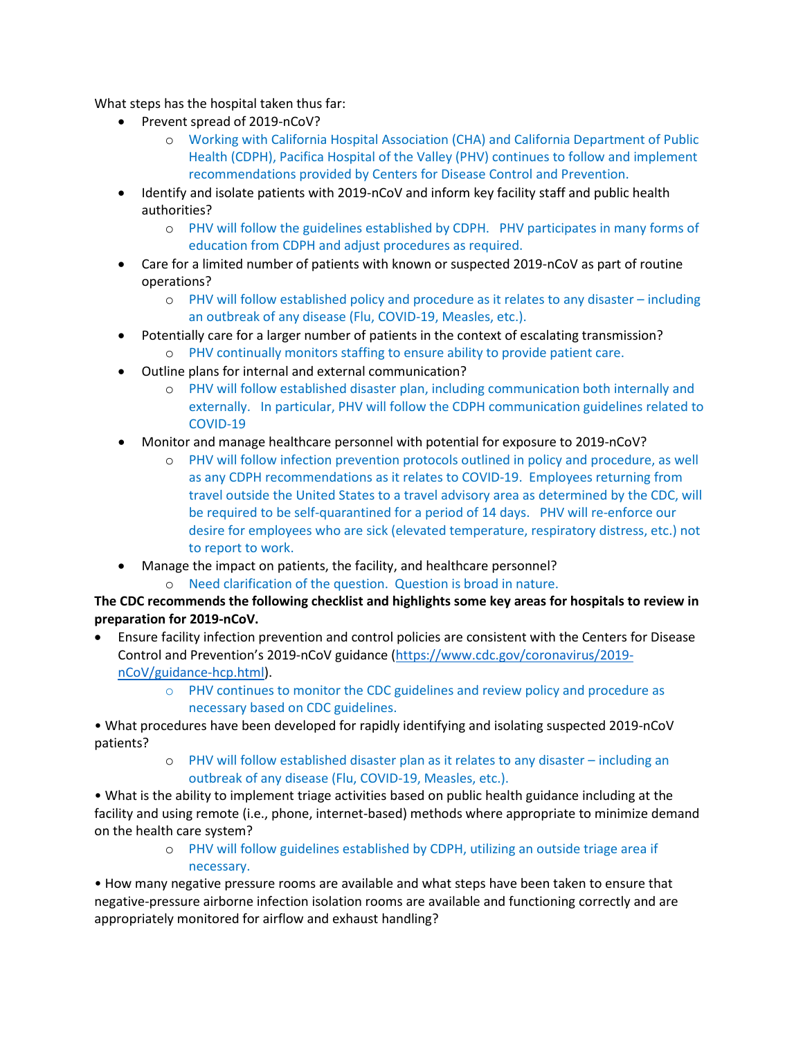What steps has the hospital taken thus far:

- Prevent spread of 2019-nCoV?
	- o Working with California Hospital Association (CHA) and California Department of Public Health (CDPH), Pacifica Hospital of the Valley (PHV) continues to follow and implement recommendations provided by Centers for Disease Control and Prevention.
- Identify and isolate patients with 2019-nCoV and inform key facility staff and public health authorities?
	- o PHV will follow the guidelines established by CDPH. PHV participates in many forms of education from CDPH and adjust procedures as required.
- Care for a limited number of patients with known or suspected 2019-nCoV as part of routine operations?
	- o PHV will follow established policy and procedure as it relates to any disaster including an outbreak of any disease (Flu, COVID-19, Measles, etc.).
- Potentially care for a larger number of patients in the context of escalating transmission?
	- o PHV continually monitors staffing to ensure ability to provide patient care.
- Outline plans for internal and external communication?
	- o PHV will follow established disaster plan, including communication both internally and externally. In particular, PHV will follow the CDPH communication guidelines related to COVID-19
- Monitor and manage healthcare personnel with potential for exposure to 2019-nCoV?
	- o PHV will follow infection prevention protocols outlined in policy and procedure, as well as any CDPH recommendations as it relates to COVID-19. Employees returning from travel outside the United States to a travel advisory area as determined by the CDC, will be required to be self-quarantined for a period of 14 days. PHV will re-enforce our desire for employees who are sick (elevated temperature, respiratory distress, etc.) not to report to work.
- Manage the impact on patients, the facility, and healthcare personnel?
	- o Need clarification of the question. Question is broad in nature.

## **The CDC recommends the following checklist and highlights some key areas for hospitals to review in preparation for 2019-nCoV.**

- Ensure facility infection prevention and control policies are consistent with the Centers for Disease Control and Prevention's 2019-nCoV guidance [\(https://www.cdc.gov/coronavirus/2019](https://www.cdc.gov/coronavirus/2019-nCoV/guidance-hcp.html) [nCoV/guidance-hcp.html\)](https://www.cdc.gov/coronavirus/2019-nCoV/guidance-hcp.html).
	- o PHV continues to monitor the CDC guidelines and review policy and procedure as necessary based on CDC guidelines.
- What procedures have been developed for rapidly identifying and isolating suspected 2019-nCoV patients?
	- o PHV will follow established disaster plan as it relates to any disaster including an outbreak of any disease (Flu, COVID-19, Measles, etc.).

• What is the ability to implement triage activities based on public health guidance including at the facility and using remote (i.e., phone, internet-based) methods where appropriate to minimize demand on the health care system?

> o PHV will follow guidelines established by CDPH, utilizing an outside triage area if necessary.

• How many negative pressure rooms are available and what steps have been taken to ensure that negative-pressure airborne infection isolation rooms are available and functioning correctly and are appropriately monitored for airflow and exhaust handling?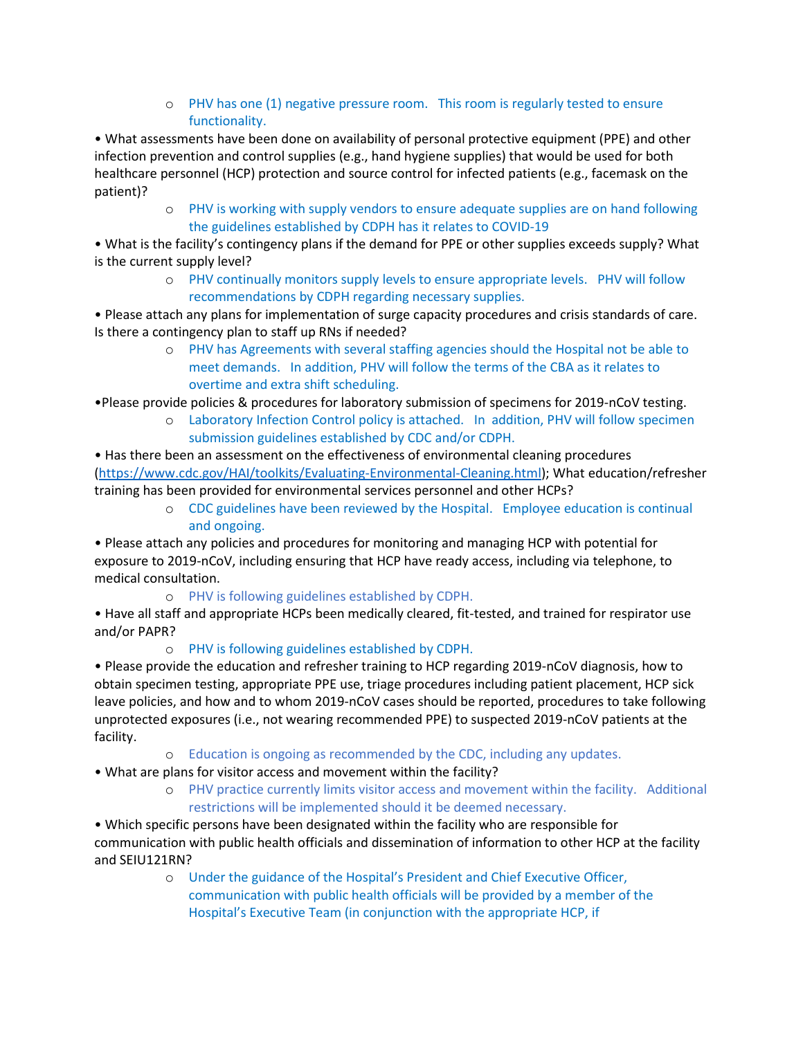o PHV has one (1) negative pressure room. This room is regularly tested to ensure functionality.

• What assessments have been done on availability of personal protective equipment (PPE) and other infection prevention and control supplies (e.g., hand hygiene supplies) that would be used for both healthcare personnel (HCP) protection and source control for infected patients (e.g., facemask on the patient)?

o PHV is working with supply vendors to ensure adequate supplies are on hand following the guidelines established by CDPH has it relates to COVID-19

• What is the facility's contingency plans if the demand for PPE or other supplies exceeds supply? What is the current supply level?

o PHV continually monitors supply levels to ensure appropriate levels. PHV will follow recommendations by CDPH regarding necessary supplies.

• Please attach any plans for implementation of surge capacity procedures and crisis standards of care. Is there a contingency plan to staff up RNs if needed?

- o PHV has Agreements with several staffing agencies should the Hospital not be able to meet demands. In addition, PHV will follow the terms of the CBA as it relates to overtime and extra shift scheduling.
- •Please provide policies & procedures for laboratory submission of specimens for 2019-nCoV testing.
	- o Laboratory Infection Control policy is attached. In addition, PHV will follow specimen submission guidelines established by CDC and/or CDPH.

• Has there been an assessment on the effectiveness of environmental cleaning procedures [\(https://www.cdc.gov/HAI/toolkits/Evaluating-Environmental-Cleaning.html\)](https://www.cdc.gov/HAI/toolkits/Evaluating-Environmental-Cleaning.html); What education/refresher training has been provided for environmental services personnel and other HCPs?

o CDC guidelines have been reviewed by the Hospital. Employee education is continual and ongoing.

• Please attach any policies and procedures for monitoring and managing HCP with potential for exposure to 2019-nCoV, including ensuring that HCP have ready access, including via telephone, to medical consultation.

o PHV is following guidelines established by CDPH.

• Have all staff and appropriate HCPs been medically cleared, fit-tested, and trained for respirator use and/or PAPR?

## o PHV is following guidelines established by CDPH.

• Please provide the education and refresher training to HCP regarding 2019-nCoV diagnosis, how to obtain specimen testing, appropriate PPE use, triage procedures including patient placement, HCP sick leave policies, and how and to whom 2019-nCoV cases should be reported, procedures to take following unprotected exposures (i.e., not wearing recommended PPE) to suspected 2019-nCoV patients at the facility.

- o Education is ongoing as recommended by the CDC, including any updates.
- What are plans for visitor access and movement within the facility?
	- o PHV practice currently limits visitor access and movement within the facility. Additional restrictions will be implemented should it be deemed necessary.

• Which specific persons have been designated within the facility who are responsible for communication with public health officials and dissemination of information to other HCP at the facility and SEIU121RN?

> o Under the guidance of the Hospital's President and Chief Executive Officer, communication with public health officials will be provided by a member of the Hospital's Executive Team (in conjunction with the appropriate HCP, if